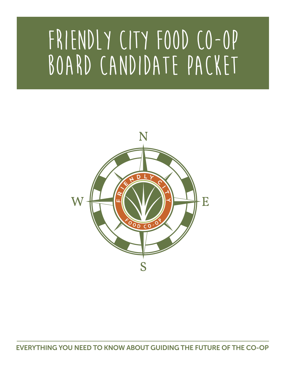# **friendly city food co-op** BOARD CANDIDATE PACKET



EVERYTHING YOU NEED TO KNOW ABOUT GUIDING THE FUTURE OF THE CO-OP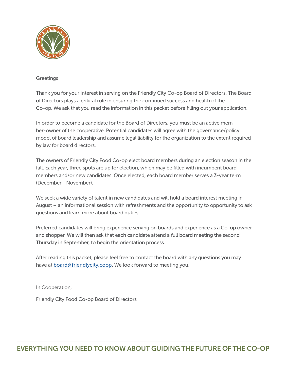

### Greetings!

Thank you for your interest in serving on the Friendly City Co-op Board of Directors. The Board of Directors plays a critical role in ensuring the continued success and health of the Co-op. We ask that you read the information in this packet before filling out your application.

In order to become a candidate for the Board of Directors, you must be an active member-owner of the cooperative. Potential candidates will agree with the governance/policy model of board leadership and assume legal liability for the organization to the extent required by law for board directors.

The owners of Friendly City Food Co-op elect board members during an election season in the fall. Each year, three spots are up for election, which may be filled with incumbent board members and/or new candidates. Once elected, each board member serves a 3-year term (December - November).

We seek a wide variety of talent in new candidates and will hold a board interest meeting in August – an informational session with refreshments and the opportunity to opportunity to ask questions and learn more about board duties.

Preferred candidates will bring experience serving on boards and experience as a Co-op owner and shopper. We will then ask that each candidate attend a full board meeting the second Thursday in September, to begin the orientation process.

After reading this packet, please feel free to contact the board with any questions you may have at [board@friendlycity.coop](mailto:board%40friendlycity.coop?subject=). We look forward to meeting you.

In Cooperation,

Friendly City Food Co-op Board of Directors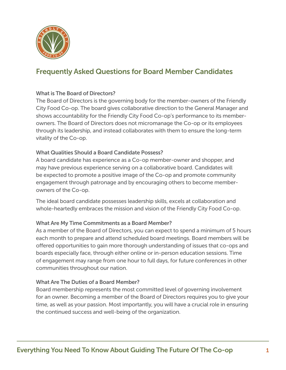

## What is The Board of Directors?

The Board of Directors is the governing body for the member-owners of the Friendly City Food Co-op. The board gives collaborative direction to the General Manager and shows accountability for the Friendly City Food Co-op's performance to its memberowners. The Board of Directors does not micromanage the Co-op or its employees through its leadership, and instead collaborates with them to ensure the long-term vitality of the Co-op.

## What Qualities Should a Board Candidate Possess?

A board candidate has experience as a Co-op member-owner and shopper, and may have previous experience serving on a collaborative board. Candidates will be expected to promote a positive image of the Co-op and promote community engagement through patronage and by encouraging others to become memberowners of the Co-op.

The ideal board candidate possesses leadership skills, excels at collaboration and whole-heartedly embraces the mission and vision of the Friendly City Food Co-op.

### What Are My Time Commitments as a Board Member?

As a member of the Board of Directors, you can expect to spend a minimum of 5 hours each month to prepare and attend scheduled board meetings. Board members will be offered opportunities to gain more thorough understanding of issues that co-ops and boards especially face, through either online or in-person education sessions. Time of engagement may range from one hour to full days, for future conferences in other communities throughout our nation.

### What Are The Duties of a Board Member?

Board membership represents the most committed level of governing involvement for an owner. Becoming a member of the Board of Directors requires you to give your time, as well as your passion. Most importantly, you will have a crucial role in ensuring the continued success and well-being of the organization.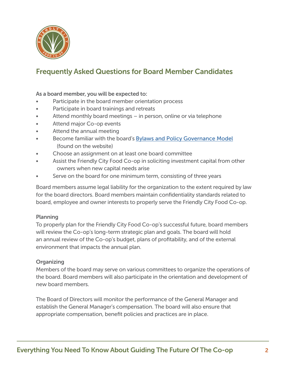

## As a board member, you will be expected to:

- Participate in the board member orientation process
- Participate in board trainings and retreats
- Attend monthly board meetings in person, online or via telephone
- Attend major Co-op events
- Attend the annual meeting
- Become familiar with the board's [Bylaws and Policy Governance Model](https://friendlycity.coop/our-board-of-directors/) (found on the website)
- Choose an assignment on at least one board committee
- Assist the Friendly City Food Co-op in soliciting investment capital from other owners when new capital needs arise
- Serve on the board for one minimum term, consisting of three years

Board members assume legal liability for the organization to the extent required by law for the board directors. Board members maintain confidentiality standards related to board, employee and owner interests to properly serve the Friendly City Food Co-op.

### Planning

To properly plan for the Friendly City Food Co-op's successful future, board members will review the Co-op's long-term strategic plan and goals. The board will hold an annual review of the Co-op's budget, plans of profitability, and of the external environment that impacts the annual plan.

### **Organizing**

Members of the board may serve on various committees to organize the operations of the board. Board members will also participate in the orientation and development of new board members.

The Board of Directors will monitor the performance of the General Manager and establish the General Manager's compensation. The board will also ensure that appropriate compensation, benefit policies and practices are in place.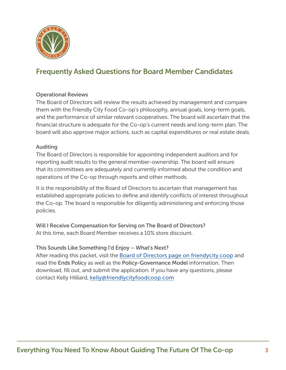

## Operational Reviews

The Board of Directors will review the results achieved by management and compare them with the Friendly City Food Co-op's philosophy, annual goals, long-term goals, and the performance of similar relevant cooperatives. The board will ascertain that the financial structure is adequate for the Co-op's current needs and long-term plan. The board will also approve major actions, such as capital expenditures or real estate deals.

### Auditing

The Board of Directors is responsible for appointing independent auditors and for reporting audit results to the general member-ownership. The board will ensure that its committees are adequately and currently informed about the condition and operations of the Co-op through reports and other methods.

It is the responsibility of the Board of Directors to ascertain that management has established appropriate policies to define and identify conflicts of interest throughout the Co-op. The board is responsible for diligently administering and enforcing those policies.

Will I Receive Compensation for Serving on The Board of Directors? At this time, each Board Member receives a 10% store discount.

This Sounds Like Something I'd Enjoy – What's Next?

After reading this packet, visit the [Board of Directors page on friendycity.coop](https://friendlycity.coop/our-board-of-directors/) and read the Ends Policy as well as the Policy-Governance Model information. Then download, fill out, and submit the application. If you have any questions, please contact Kelly Hilliard, kelly@friendlycityfoodcoop.com